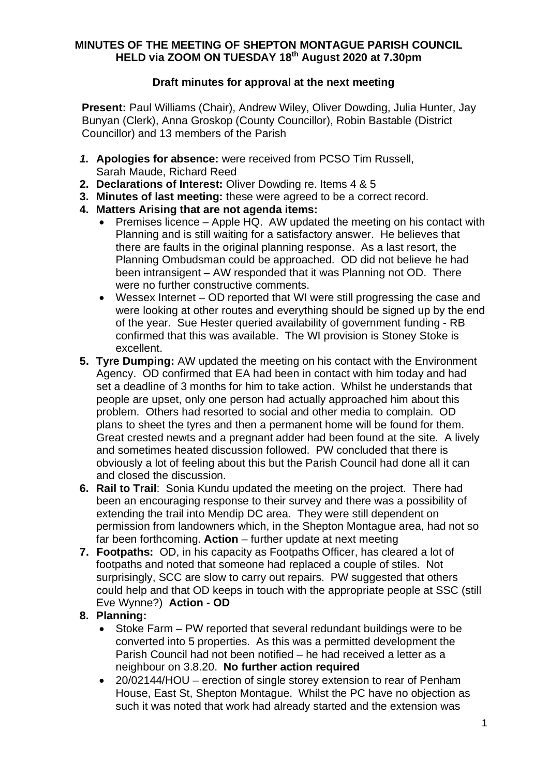## **MINUTES OF THE MEETING OF SHEPTON MONTAGUE PARISH COUNCIL HELD via ZOOM ON TUESDAY 18th August 2020 at 7.30pm**

# **Draft minutes for approval at the next meeting**

**Present:** Paul Williams (Chair), Andrew Wiley, Oliver Dowding, Julia Hunter, Jay Bunyan (Clerk), Anna Groskop (County Councillor), Robin Bastable (District Councillor) and 13 members of the Parish

- *1.* **Apologies for absence:** were received from PCSO Tim Russell, Sarah Maude, Richard Reed
- **2. Declarations of Interest:** Oliver Dowding re. Items 4 & 5
- **3. Minutes of last meeting:** these were agreed to be a correct record.
- **4. Matters Arising that are not agenda items:**
	- · Premises licence Apple HQ. AW updated the meeting on his contact with Planning and is still waiting for a satisfactory answer. He believes that there are faults in the original planning response. As a last resort, the Planning Ombudsman could be approached. OD did not believe he had been intransigent – AW responded that it was Planning not OD. There were no further constructive comments.
	- · Wessex Internet OD reported that WI were still progressing the case and were looking at other routes and everything should be signed up by the end of the year. Sue Hester queried availability of government funding - RB confirmed that this was available. The WI provision is Stoney Stoke is excellent.
- **5. Tyre Dumping:** AW updated the meeting on his contact with the Environment Agency. OD confirmed that EA had been in contact with him today and had set a deadline of 3 months for him to take action. Whilst he understands that people are upset, only one person had actually approached him about this problem. Others had resorted to social and other media to complain. OD plans to sheet the tyres and then a permanent home will be found for them. Great crested newts and a pregnant adder had been found at the site. A lively and sometimes heated discussion followed. PW concluded that there is obviously a lot of feeling about this but the Parish Council had done all it can and closed the discussion.
- **6. Rail to Trail**: Sonia Kundu updated the meeting on the project. There had been an encouraging response to their survey and there was a possibility of extending the trail into Mendip DC area. They were still dependent on permission from landowners which, in the Shepton Montague area, had not so far been forthcoming. **Action** – further update at next meeting
- **7. Footpaths:** OD, in his capacity as Footpaths Officer, has cleared a lot of footpaths and noted that someone had replaced a couple of stiles. Not surprisingly, SCC are slow to carry out repairs. PW suggested that others could help and that OD keeps in touch with the appropriate people at SSC (still Eve Wynne?) **Action - OD**

# **8. Planning:**

- · Stoke Farm PW reported that several redundant buildings were to be converted into 5 properties. As this was a permitted development the Parish Council had not been notified – he had received a letter as a neighbour on 3.8.20. **No further action required**
- · 20/02144/HOU erection of single storey extension to rear of Penham House, East St, Shepton Montague. Whilst the PC have no objection as such it was noted that work had already started and the extension was